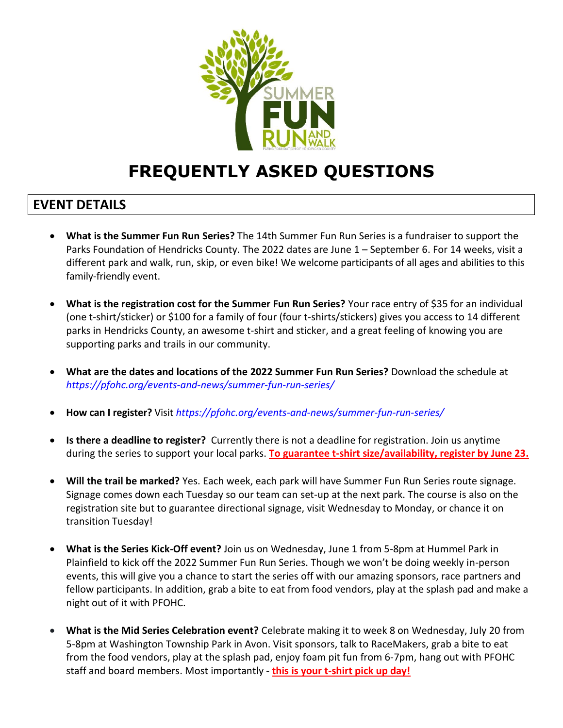

# **FREQUENTLY ASKED QUESTIONS**

#### **EVENT DETAILS**

- **What is the Summer Fun Run Series?** The 14th Summer Fun Run Series is a fundraiser to support the Parks Foundation of Hendricks County. The 2022 dates are June 1 – September 6. For 14 weeks, visit a different park and walk, run, skip, or even bike! We welcome participants of all ages and abilities to this family-friendly event.
- **What is the registration cost for the Summer Fun Run Series?** Your race entry of \$35 for an individual (one t-shirt/sticker) or \$100 for a family of four (four t-shirts/stickers) gives you access to 14 different parks in Hendricks County, an awesome t-shirt and sticker, and a great feeling of knowing you are supporting parks and trails in our community.
- **What are the dates and locations of the 2022 Summer Fun Run Series?** Download the [schedule](https://u21728277.ct.sendgrid.net/ls/click?upn=O2UkP54ZvsyIKSzkcdKk5nsY0muOcXvOn6BHlT30CbBGKRTJGGHoSnyEI9iU-2BaaBsDBAI4PuslWuUjLGHxtsEfbhQgK1IlQPcU-2BxANoSp-2Fb9M7-2FY-2Bm7jnzhr0Ze-2FJ6JwxRIn1ZV-2BRmLJMq9-2B2JZ5BlAhmUrpBVpz2AZNGyHivVwqQm2LXVv8TsLyPjCaGuSrxZPJslpcmfQmomkEc88FAz9hsefbNdT-2FmT7ZGeU0TATABgpzdG7ZIVlIGwhx-2BVsxB3MqPKpaGKcACYVFiPeGbSD6KEtOZ9P33Z55hDgqutEG-2BpLm64YsU4z0DSmtUMEBQYCH4Tz2nGEKWHed2VTBD8z5RrjEXa-2FVWo9SjRZVegHnyqm8DV4MLcrw7ruMPnjVvLpDhsGmvUvwmJJYk-2Fj12JrLuEw3Pi4VAywIi3e6L63d01-2Fe7QBAgRCpRevehdUqUw-2FdVmF8HMXe5kj9460VmDRsXUHvbxyMvIb3YFussjNMGSwSdPHqrXq51cNxZqKMqJI3yjzDMpTQUT3le4z7YC3Nt2-2BjknemudRcLE5Ao4hrxT0it72rOYQLwuITZDhD1J7lCS63BXtzTEaS5jrxg8O9ii0RKwoUXkQuqQhVZRGFtYXhEqxkTlDk2bpS-2FmN4rfmG_r-2BDMsuWuYVmb7-2F1Mu1QL1Fyd0XRHzILNl7Xk70anY9e35caQeknJcIM5JhcL-2F-2Fd2l501pKA3MXLxOGEiB50myU8f5BhFh5wwG-2F-2FJjrpL-2F-2FAuyNwJDMbI-2FBSDe4PnO40GAMsFedTt-2B2MJ15Je4ldYpQJnqKKOKPU7i-2F-2B8WN7DFg2FKKChmFPnARUzM1qoj9DtxPMA-2BTXX9AJuJevRJTkWikUy0Nx0tn07XjOUA-2B8XByO4mX0bMZ5jJPflDhlmdXcIifFmhRWt5G83-2BcisA6odsqapVykxUJPRIqViZUWvd528flMUQaR79srz74sqI38UyqWkIvx3yD931Oi5u9wHK6lC3huYBRz-2B9gQPg9jPmyy05Rqzfp6bp-2FlNthp1oRPhnvfAkUJAgDtqcQ8jEJyWeQ-3D-3D) at *<https://pfohc.org/events-and-news/summer-fun-run-series/>*
- **How can I register?** Visit *<https://pfohc.org/events-and-news/summer-fun-run-series/>*
- **Is there a deadline to register?** Currently there is not a deadline for registration. Join us anytime during the series to support your local parks. **To guarantee t-shirt size/availability, register by June 23.**
- **Will the trail be marked?** Yes. Each week, each park will have Summer Fun Run Series route signage. Signage comes down each Tuesday so our team can set-up at the next park. The course is also on the registration site but to guarantee directional signage, visit Wednesday to Monday, or chance it on transition Tuesday!
- **What is the Series Kick-Off event?** Join us on Wednesday, June 1 from 5-8pm at Hummel Park in Plainfield to kick off the 2022 Summer Fun Run Series. Though we won't be doing weekly in-person events, this will give you a chance to start the series off with our amazing sponsors, race partners and fellow participants. In addition, grab a bite to eat from food vendors, play at the splash pad and make a night out of it with PFOHC.
- **What is the Mid Series Celebration event?** Celebrate making it to week 8 on Wednesday, July 20 from 5-8pm at Washington Township Park in Avon. Visit sponsors, talk to RaceMakers, grab a bite to eat from the food vendors, play at the splash pad, enjoy foam pit fun from 6-7pm, hang out with PFOHC staff and board members. Most importantly - **this is your t-shirt pick up day!**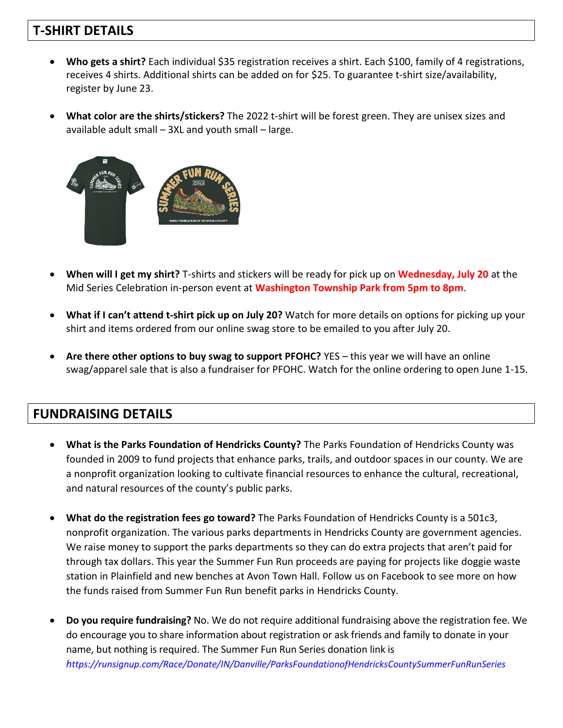## **T-SHIRT DETAILS**

- **Who gets a shirt?** Each individual \$35 registration receives a shirt. Each \$100, family of 4 registrations, receives 4 shirts. Additional shirts can be added on for \$25. To guarantee t-shirt size/availability, register by June 23.
- **What color are the shirts/stickers?** The 2022 t-shirt will be forest green. They are unisex sizes and available adult small – 3XL and youth small – large.



- **When will I get my shirt?** T-shirts and stickers will be ready for pick up on **Wednesday, July 20** at the Mid Series Celebration in-person event at **Washington Township Park from 5pm to 8pm**.
- **What if I can't attend t-shirt pick up on July 20?** Watch for more details on options for picking up your shirt and items ordered from our online swag store to be emailed to you after July 20.
- **Are there other options to buy swag to support PFOHC?** YES this year we will have an online swag/apparel sale that is also a fundraiser for PFOHC. Watch for the online ordering to open June 1-15.

## **FUNDRAISING DETAILS**

- **What is the Parks Foundation of Hendricks County?** The Parks Foundation of Hendricks County was founded in 2009 to fund projects that enhance parks, trails, and outdoor spaces in our county. We are a nonprofit organization looking to cultivate financial resources to enhance the cultural, recreational, and natural resources of the county's public parks.
- **What do the registration fees go toward?** The Parks Foundation of Hendricks County is a 501c3, nonprofit organization. The various parks departments in Hendricks County are government agencies. We raise money to support the parks departments so they can do extra projects that aren't paid for through tax dollars. This year the Summer Fun Run proceeds are paying for projects like doggie waste station in Plainfield and new benches at Avon Town Hall. Follow us on Facebook to see more on how the funds raised from Summer Fun Run benefit parks in Hendricks County.
- **Do you require fundraising?** No. We do not require additional fundraising above the registration fee. We do encourage you to share information about registration or ask friends and family to donate in your name, but nothing is required. The Summer Fun Run Series donation link is *h[ttps://runsignup.com/Race/Donate/IN/Danville/ParksFoundationofHendricksCountySummerFunRunSeries](https://runsignup.com/Race/Donate/IN/Danville/ParksFoundationofHendricksCountySummerFunRunSeries)*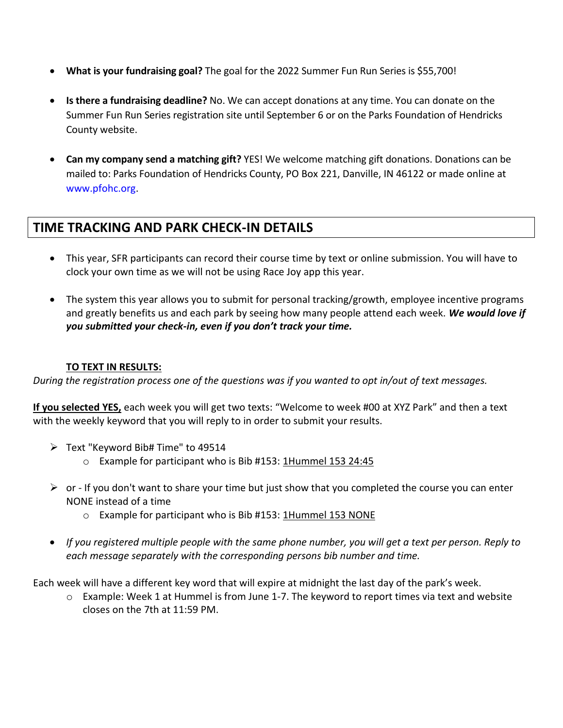- **What is your fundraising goal?** The goal for the 2022 Summer Fun Run Series is \$55,700!
- **Is there a fundraising deadline?** No. We can accept donations at any time. You can donate on the Summer Fun Run Series registration site until September 6 or on the Parks Foundation of Hendricks County website.
- **Can my company send a matching gift?** YES! We welcome matching gift donations. Donations can be mailed to: Parks Foundation of Hendricks County, PO Box 221, Danville, IN 46122 or made online at [www.pfohc.org.](http://www.pfohc.org/)

### **TIME TRACKING AND PARK CHECK-IN DETAILS**

- This year, SFR participants can record their course time by text or online submission. You will have to clock your own time as we will not be using Race Joy app this year.
- The system this year allows you to submit for personal tracking/growth, employee incentive programs and greatly benefits us and each park by seeing how many people attend each week. *We would love if you submitted your check-in, even if you don't track your time.*

#### **TO TEXT IN RESULTS:**

*During the registration process one of the questions was if you wanted to opt in/out of text messages.*

**If you selected YES,** each week you will get two texts: "Welcome to week #00 at XYZ Park" and then a text with the weekly keyword that you will reply to in order to submit your results.

- ➢ Text "Keyword Bib# Time" to 49514
	- o Example for participant who is Bib #153: 1Hummel 153 24:45
- $\triangleright$  or If you don't want to share your time but just show that you completed the course you can enter NONE instead of a time
	- o Example for participant who is Bib #153: 1Hummel 153 NONE
- *If you registered multiple people with the same phone number, you will get a text per person. Reply to each message separately with the corresponding persons bib number and time.*

Each week will have a different key word that will expire at midnight the last day of the park's week.

o Example: Week 1 at Hummel is from June 1-7. The keyword to report times via text and website closes on the 7th at 11:59 PM.